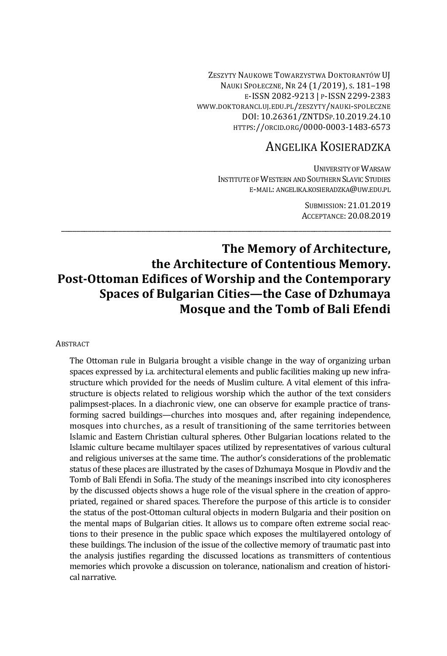ZESZYTY NAUKOWE TOWARZYSTWA DOKTORANTÓW UJ NAUKI SPOŁECZNE, NR 24 (1/2019), S. 181–198 E-ISSN 2082-9213 | P-ISSN 2299-2383 WWW.DOKTORANCI.UJ.EDU.PL/ZESZYTY/NAUKI-SPOLECZNE DOI: 10.26361/ZNTDSP.10.2019.24.10 HTTPS://ORCID.ORG/0000-0003-1483-6573

# ANGELIKA KOSIERADZKA

UNIVERSITY OF WARSAW INSTITUTE OF WESTERN AND SOUTHERN SLAVIC STUDIES E-MAIL: ANGELIKA.KOSIERADZKA@UW.EDU.PL

> SUBMISSION: 21.01.2019 ACCEPTANCE: 20.08.2019

# **The Memory of Architecture, the Architecture of Contentious Memory. Post-Ottoman Edifices of Worship and the Contemporary Spaces of Bulgarian Cities—the Case of Dzhumaya Mosque and the Tomb of Bali Efendi**

\_\_\_\_\_\_\_\_\_\_\_\_\_\_\_\_\_\_\_\_\_\_\_\_\_\_\_\_\_\_\_\_\_\_\_\_\_\_\_\_\_\_\_\_\_\_\_\_\_\_\_\_\_\_\_\_\_\_\_\_\_\_\_\_\_\_\_\_\_\_\_\_\_\_\_\_\_\_\_\_\_\_\_\_\_\_

### **ABSTRACT**

The Ottoman rule in Bulgaria brought a visible change in the way of organizing urban spaces expressed by i.a. architectural elements and public facilities making up new infrastructure which provided for the needs of Muslim culture. A vital element of this infrastructure is objects related to religious worship which the author of the text considers palimpsest-places. In a diachronic view, one can observe for example practice of transforming sacred buildings—churches into mosques and, after regaining independence, mosques into churches, as a result of transitioning of the same territories between Islamic and Eastern Christian cultural spheres. Other Bulgarian locations related to the Islamic culture became multilayer spaces utilized by representatives of various cultural and religious universes at the same time. The author's considerations of the problematic status of these places are illustrated by the cases of Dzhumaya Mosque in Plovdiv and the Tomb of Bali Efendi in Sofia. The study of the meanings inscribed into city iconospheres by the discussed objects shows a huge role of the visual sphere in the creation of appropriated, regained or shared spaces. Therefore the purpose of this article is to consider the status of the post-Ottoman cultural objects in modern Bulgaria and their position on the mental maps of Bulgarian cities. It allows us to compare often extreme social reactions to their presence in the public space which exposes the multilayered ontology of these buildings. The inclusion of the issue of the collective memory of traumatic past into the analysis justifies regarding the discussed locations as transmitters of contentious memories which provoke a discussion on tolerance, nationalism and creation of historical narrative.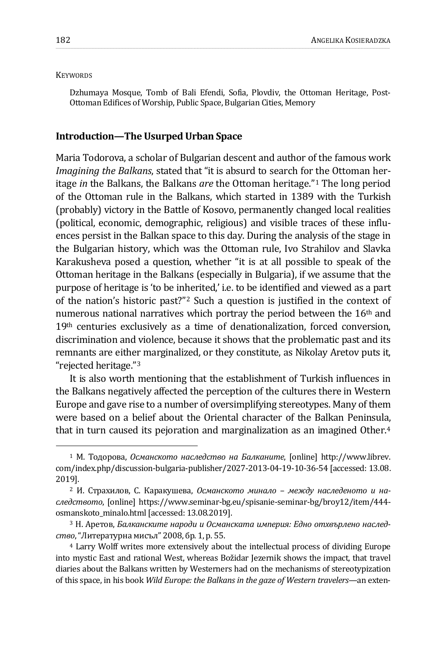### **KEYWORDS**

Dzhumaya Mosque, Tomb of Bali Efendi, Sofia, Plovdiv, the Ottoman Heritage, Post-Ottoman Edifices of Worship, Public Space, Bulgarian Cities, Memory

## **Introduction—The Usurped Urban Space**

Maria Todorova, a scholar of Bulgarian descent and author of the famous work *Imagining the Balkans*, stated that "it is absurd to search for the Ottoman heritage *in* the Balkans, the Balkans *are* the Ottoman heritage."[1](#page-1-0) The long period of the Ottoman rule in the Balkans, which started in 1389 with the Turkish (probably) victory in the Battle of Kosovo, permanently changed local realities (political, economic, demographic, religious) and visible traces of these influences persist in the Balkan space to this day. During the analysis of the stage in the Bulgarian history, which was the Ottoman rule, Ivo Strahilov and Slavka Karakusheva posed a question, whether "it is at all possible to speak of the Ottoman heritage in the Balkans (especially in Bulgaria), if we assume that the purpose of heritage is 'to be inherited,' i.e. to be identified and viewed as a part of the nation's historic past?["2](#page-1-1) Such a question is justified in the context of numerous national narratives which portray the period between the  $16<sup>th</sup>$  and  $19<sup>th</sup>$  centuries exclusively as a time of denationalization, forced conversion, discrimination and violence, because it shows that the problematic past and its remnants are either marginalized, or they constitute, as Nikolay Aretov puts it, "rejected heritage."[3](#page-1-2)

It is also worth mentioning that the establishment of Turkish influences in the Balkans negatively affected the perception of the cultures there in Western Europe and gave rise to a number of oversimplifying stereotypes. Many of them were based on a belief about the Oriental character of the Balkan Peninsula, that in turn caused its pejoration and marginalization as an imagined Other.[4](#page-1-3)

<span id="page-1-0"></span><sup>1</sup> М. Тодорова, *Османското наследство на Балканите*, [online] http://www.librev. com/index.php/discussion-bulgaria-publisher/2027-2013-04-19-10-36-54 [accessed: 13.08. 2019].

<span id="page-1-1"></span><sup>2</sup> И. Страхилов, С. Каракушева, *Османското минало – между наследеното и наследството*, [online] https://www.seminar-bg.eu/spisanie-seminar-bg/broy12/item/444 osmanskoto\_minalo.html [accessed: 13.08.2019].

<span id="page-1-2"></span><sup>3</sup> Н. Аретов, *Балканските народи и Османската империя: Едно отхвърлено наследство*,"Литературна мисъл" 2008, бр. 1, p. 55.

<span id="page-1-3"></span><sup>4</sup> Larry Wolff writes more extensively about the intellectual process of dividing Europe into mystic East and rational West, whereas Božidar Jezernik shows the impact, that travel diaries about the Balkans written by Westerners had on the mechanisms of stereotypization of this space, in his book *Wild Europe: the Balkans in the gaze of Western travelers*—an exten-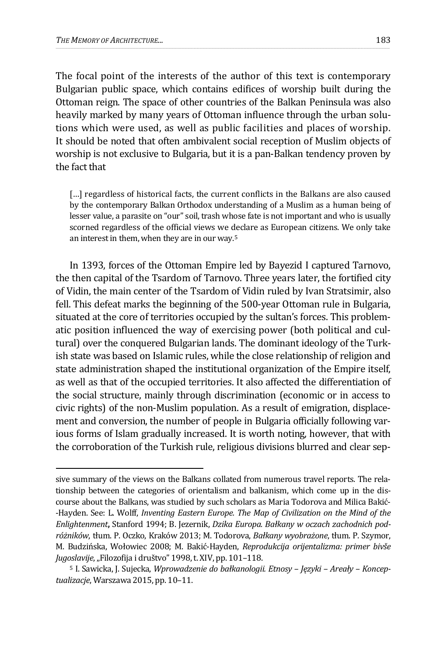<u>.</u>

The focal point of the interests of the author of this text is contemporary Bulgarian public space, which contains edifices of worship built during the Ottoman reign. The space of other countries of the Balkan Peninsula was also heavily marked by many years of Ottoman influence through the urban solutions which were used, as well as public facilities and places of worship. It should be noted that often ambivalent social reception of Muslim objects of worship is not exclusive to Bulgaria, but it is a pan-Balkan tendency proven by the fact that

[...] regardless of historical facts, the current conflicts in the Balkans are also caused by the contemporary Balkan Orthodox understanding of a Muslim as a human being of lesser value, a parasite on "our" soil, trash whose fate is not important and who is usually scorned regardless of the official views we declare as European citizens. We only take an interest in them, when they are in our way.[5](#page-2-0)

In 1393, forces of the Ottoman Empire led by Bayezid I captured Tarnovo, the then capital of the Tsardom of Tarnovo. Three years later, the fortified city of Vidin, the main center of the Tsardom of Vidin ruled by Ivan Stratsimir, also fell. This defeat marks the beginning of the 500-year Ottoman rule in Bulgaria, situated at the core of territories occupied by the sultan's forces. This problematic position influenced the way of exercising power (both political and cultural) over the conquered Bulgarian lands. The dominant ideology of the Turkish state was based on Islamic rules, while the close relationship of religion and state administration shaped the institutional organization of the Empire itself, as well as that of the occupied territories. It also affected the differentiation of the social structure, mainly through discrimination (economic or in access to civic rights) of the non-Muslim population. As a result of emigration, displacement and conversion, the number of people in Bulgaria officially following various forms of Islam gradually increased. It is worth noting, however, that with the corroboration of the Turkish rule, religious divisions blurred and clear sep-

sive summary of the views on the Balkans collated from numerous travel reports. The relationship between the categories of orientalism and balkanism, which come up in the discourse about the Balkans, was studied by such scholars as Maria Todorova and Milica Bakić- -Hayden. See: L. Wolff, *Inventing Eastern Europe. The Map of Civilization on the Mind of the Enlightenment***,** Stanford 1994; B. Jezernik, *Dzika Europa. Bałkany w oczach zachodnich podróżników*, tłum. P. Oczko, Kraków 2013; M. Todorova, *Bałkany wyobrażone*, tłum. P. Szymor, M. Budzińska, Wołowiec 2008; M. Bakić-Hayden, *Reprodukcija orijentalizma: primer bivše*  Jugoslavije, "Filozofija i društvo" 1998, t. XIV, pp. 101-118.

<span id="page-2-0"></span><sup>5</sup> I. Sawicka, J. Sujecka, *Wprowadzenie do bałkanologii. Etnosy – Języki – Areały – Konceptualizacje*, Warszawa 2015, pp. 10–11.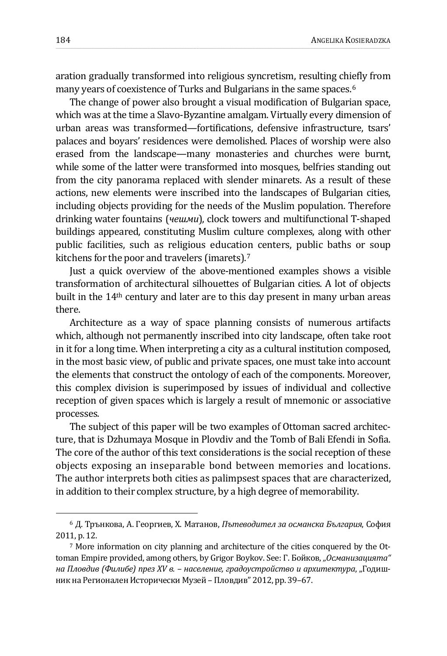aration gradually transformed into religious syncretism, resulting chiefly from many years of coexistence of Turks and Bulgarians in the same spaces.<sup>[6](#page-3-0)</sup>

The change of power also brought a visual modification of Bulgarian space, which was at the time a Slavo-Byzantine amalgam. Virtually every dimension of urban areas was transformed—fortifications, defensive infrastructure, tsars' palaces and boyars' residences were demolished. Places of worship were also erased from the landscape—many monasteries and churches were burnt, while some of the latter were transformed into mosques, belfries standing out from the city panorama replaced with slender minarets. As a result of these actions, new elements were inscribed into the landscapes of Bulgarian cities, including objects providing for the needs of the Muslim population. Therefore drinking water fountains (*чешми*), clock towers and multifunctional T-shaped buildings appeared, constituting Muslim culture complexes, along with other public facilities, such as religious education centers, public baths or soup kitchens for the poor and travelers (imarets).[7](#page-3-1)

Just a quick overview of the above-mentioned examples shows a visible transformation of architectural silhouettes of Bulgarian cities. A lot of objects built in the 14th century and later are to this day present in many urban areas there.

Architecture as a way of space planning consists of numerous artifacts which, although not permanently inscribed into city landscape, often take root in it for a long time. When interpreting a city as a cultural institution composed, in the most basic view, of public and private spaces, one must take into account the elements that construct the ontology of each of the components. Moreover, this complex division is superimposed by issues of individual and collective reception of given spaces which is largely a result of mnemonic or associative processes.

The subject of this paper will be two examples of Ottoman sacred architecture, that is Dzhumaya Mosque in Plovdiv and the Tomb of Bali Efendi in Sofia. The core of the author of this text considerations is the social reception of these objects exposing an inseparable bond between memories and locations. The author interprets both cities as palimpsest spaces that are characterized, in addition to their complex structure, by a high degree of memorability.

<span id="page-3-0"></span><sup>6</sup> Д. Трънкова, А. Георгиев, Х. Матанов, *Пътеводител за османска България*, София 2011, p. 12.

<span id="page-3-1"></span><sup>7</sup> More information on city planning and architecture of the cities conquered by the Ottoman Empire provided, among others, by Grigor Boykov. See: Г. Бойков, *"Османизацията" на Пловдив (Филибе) през XV в. – население, градоустройство и архитектура*, "Годишник на Регионален Исторически Музей – Пловдив" 2012, pp. 39–67.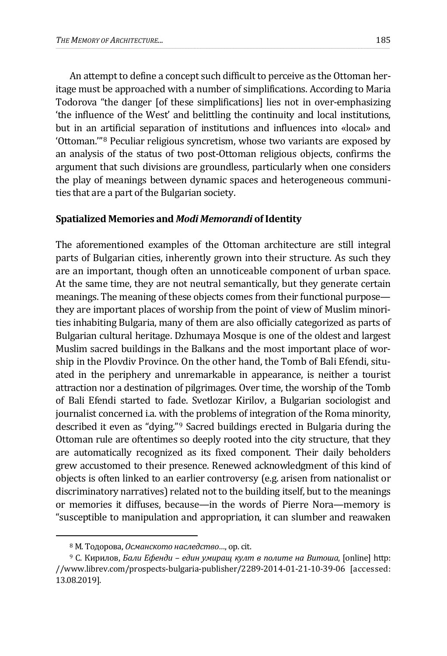An attempt to define a concept such difficult to perceive as the Ottoman heritage must be approached with a number of simplifications. According to Maria Todorova "the danger [of these simplifications] lies not in over-emphasizing 'the influence of the West' and belittling the continuity and local institutions, but in an artificial separation of institutions and influences into «local» and 'Ottoman.'"[8](#page-4-0) Peculiar religious syncretism, whose two variants are exposed by an analysis of the status of two post-Ottoman religious objects, confirms the argument that such divisions are groundless, particularly when one considers the play of meanings between dynamic spaces and heterogeneous communities that are a part of the Bulgarian society.

## **Spatialized Memories and** *Modi Memorandi* **of Identity**

The aforementioned examples of the Ottoman architecture are still integral parts of Bulgarian cities, inherently grown into their structure. As such they are an important, though often an unnoticeable component of urban space. At the same time, they are not neutral semantically, but they generate certain meanings. The meaning of these objects comes from their functional purpose they are important places of worship from the point of view of Muslim minorities inhabiting Bulgaria, many of them are also officially categorized as parts of Bulgarian cultural heritage. Dzhumaya Mosque is one of the oldest and largest Muslim sacred buildings in the Balkans and the most important place of worship in the Plovdiv Province. On the other hand, the Tomb of Bali Efendi, situated in the periphery and unremarkable in appearance, is neither a tourist attraction nor a destination of pilgrimages. Over time, the worship of the Tomb of Bali Efendi started to fade. Svetlozar Kirilov, a Bulgarian sociologist and journalist concerned i.a. with the problems of integration of the Roma minority, described it even as "dying."[9](#page-4-1) Sacred buildings erected in Bulgaria during the Ottoman rule are oftentimes so deeply rooted into the city structure, that they are automatically recognized as its fixed component. Their daily beholders grew accustomed to their presence. Renewed acknowledgment of this kind of objects is often linked to an earlier controversy (e.g. arisen from nationalist or discriminatory narratives) related not to the building itself, but to the meanings or memories it diffuses, because—in the words of Pierre Nora—memory is "susceptible to manipulation and appropriation, it can slumber and reawaken

<sup>8</sup> М. Тодорова, *Османското наследство…*, op. cit.

<span id="page-4-1"></span><span id="page-4-0"></span><sup>9</sup> С. Кирилов, *Бали Ефенди – един умиращ култ в полите на Витоша*, [online] http: //www.librev.com/prospects-bulgaria-publisher/2289-2014-01-21-10-39-06 [accessed: 13.08.2019].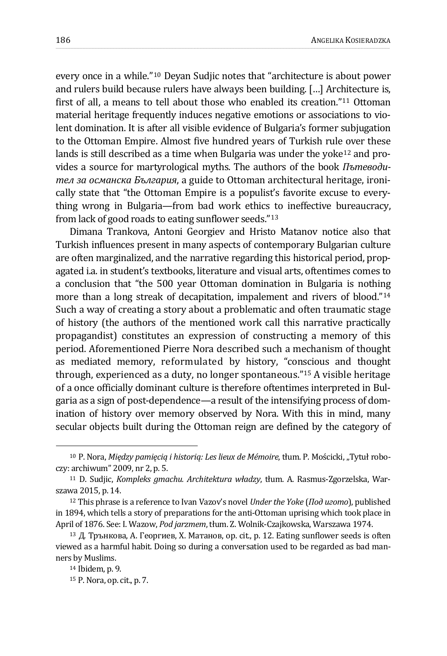every once in a while."[10](#page-5-0) Deyan Sudjic notes that "architecture is about power and rulers build because rulers have always been building. […] Architecture is, first of all, a means to tell about those who enabled its creation."[11](#page-5-1) Ottoman material heritage frequently induces negative emotions or associations to violent domination. It is after all visible evidence of Bulgaria's former subjugation to the Ottoman Empire. Almost five hundred years of Turkish rule over these lands is still described as a time when Bulgaria was under the yoke<sup>[12](#page-5-2)</sup> and provides a source for martyrological myths. The authors of the book *Пътеводител за османска България*, a guide to Ottoman architectural heritage, ironically state that "the Ottoman Empire is a populist's favorite excuse to everything wrong in Bulgaria—from bad work ethics to ineffective bureaucracy, from lack of good roads to eating sunflower seeds."[13](#page-5-3)

Dimana Trankova, Antoni Georgiev and Hristo Matanov notice also that Turkish influences present in many aspects of contemporary Bulgarian culture are often marginalized, and the narrative regarding this historical period, propagated i.a. in student's textbooks, literature and visual arts, oftentimes comes to a conclusion that "the 500 year Ottoman domination in Bulgaria is nothing more than a long streak of decapitation, impalement and rivers of blood."<sup>[14](#page-5-4)</sup> Such a way of creating a story about a problematic and often traumatic stage of history (the authors of the mentioned work call this narrative practically propagandist) constitutes an expression of constructing a memory of this period. Aforementioned Pierre Nora described such a mechanism of thought as mediated memory, reformulated by history, "conscious and thought through, experienced as a duty, no longer spontaneous."[15](#page-5-5) A visible heritage of a once officially dominant culture is therefore oftentimes interpreted in Bulgaria as a sign of post-dependence—a result of the intensifying process of domination of history over memory observed by Nora. With this in mind, many secular objects built during the Ottoman reign are defined by the category of

<span id="page-5-0"></span><sup>10</sup> P. Nora, *Między pamięcią i historią: Les lieux de Mémoire*, tłum. P. Mościcki, "Tytuł roboczy: archiwum" 2009, nr 2, p. 5.

<span id="page-5-1"></span><sup>11</sup> D. Sudjic, *Kompleks gmachu. Architektura władzy*, tłum. A. Rasmus-Zgorzelska, Warszawa 2015, p. 14.

<span id="page-5-2"></span><sup>12</sup> This phrase is a reference to Ivan Vazov's novel *Under the Yoke* (*Под игото*), published in 1894, which tells a story of preparations for the anti-Ottoman uprising which took place in April of 1876. See: I. Wazow, *Pod jarzmem*, tłum. Z. Wolnik-Czajkowska, Warszawa 1974.

<span id="page-5-4"></span><span id="page-5-3"></span><sup>13</sup> Д. Трънкова, А. Георгиев, Х. Матанов, op. cit., p. 12. Eating sunflower seeds is often viewed as a harmful habit. Doing so during a conversation used to be regarded as bad manners by Muslims.

<sup>14</sup> Ibidem, p. 9.

<span id="page-5-5"></span><sup>15</sup> P. Nora, op. cit., p. 7.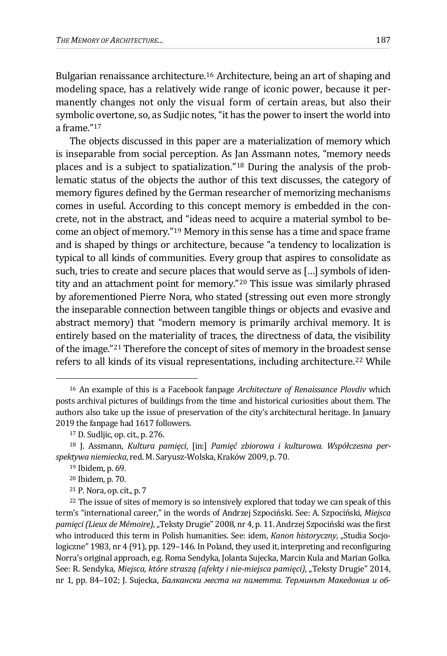Bulgarian renaissance architecture.[16](#page-6-0) Architecture, being an art of shaping and modeling space, has a relatively wide range of iconic power, because it permanently changes not only the visual form of certain areas, but also their symbolic overtone, so, as Sudjic notes, "it has the power to insert the world into a frame.["17](#page-6-1)

The objects discussed in this paper are a materialization of memory which is inseparable from social perception. As Jan Assmann notes, "memory needs places and is a subject to spatialization."[18](#page-6-2) During the analysis of the problematic status of the objects the author of this text discusses, the category of memory figures defined by the German researcher of memorizing mechanisms comes in useful. According to this concept memory is embedded in the concrete, not in the abstract, and "ideas need to acquire a material symbol to become an object of memory."[19](#page-6-3) Memory in this sense has a time and space frame and is shaped by things or architecture, because "a tendency to localization is typical to all kinds of communities. Every group that aspires to consolidate as such, tries to create and secure places that would serve as […] symbols of identity and an attachment point for memory."[20](#page-6-4) This issue was similarly phrased by aforementioned Pierre Nora, who stated (stressing out even more strongly the inseparable connection between tangible things or objects and evasive and abstract memory) that "modern memory is primarily archival memory. It is entirely based on the materiality of traces, the directness of data, the visibility of the image."[21](#page-6-5) Therefore the concept of sites of memory in the broadest sense refers to all kinds of its visual representations, including architecture.<sup>[22](#page-6-6)</sup> While

<span id="page-6-0"></span><sup>16</sup> An example of this is a Facebook fanpage *Architecture of Renaissance Plovdiv* which posts archival pictures of buildings from the time and historical curiosities about them. The authors also take up the issue of preservation of the city's architectural heritage. In January 2019 the fanpage had 1617 followers.

<sup>17</sup> D. Sudljic, op. cit., p. 276.

<span id="page-6-3"></span><span id="page-6-2"></span><span id="page-6-1"></span><sup>18</sup> J. Assmann, *Kultura pamięci*, [in:] *Pamięć zbiorowa i kulturowa. Współczesna perspektywa niemiecka*, red. M. Saryusz-Wolska, Kraków 2009, p. 70.

<sup>19</sup> Ibidem, p. 69.

<sup>20</sup> Ibidem, p. 70.

<sup>21</sup> P. Nora, op. cit., p. 7

<span id="page-6-6"></span><span id="page-6-5"></span><span id="page-6-4"></span><sup>&</sup>lt;sup>22</sup> The issue of sites of memory is so intensively explored that today we can speak of this term's "international career," in the words of Andrzej Szpociński. See: A. Szpociński, *Miejsca pamięci (Lieux de Mémoire)*, "Teksty Drugie" 2008, nr 4, p. 11. Andrzej Szpociński was the first who introduced this term in Polish humanities. See: idem, *Kanon historyczny*, "Studia Socjologiczne" 1983, nr 4 (91), pp. 129–146. In Poland, they used it, interpreting and reconfiguring Norra's original approach, e.g. Roma Sendyka, Jolanta Sujecka, Marcin Kula and Marian Golka. See: R. Sendyka, *Miejsca, które straszą (afekty i nie-miejsca pamięci)*, "Teksty Drugie" 2014, nr 1, pp. 84–102; J. Sujecka, *Балкански места на паметта. Терминът Македония и об-*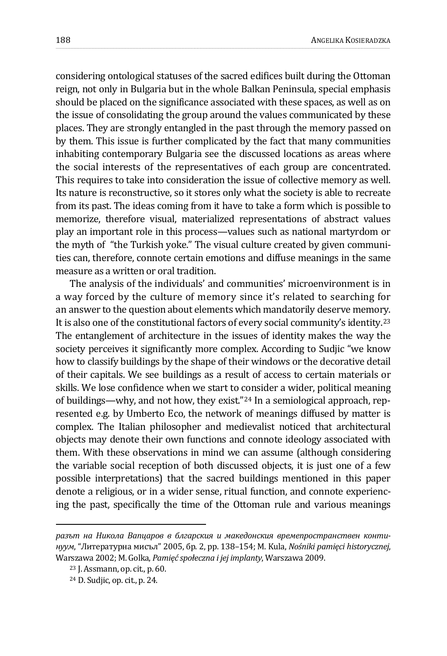considering ontological statuses of the sacred edifices built during the Ottoman reign, not only in Bulgaria but in the whole Balkan Peninsula, special emphasis should be placed on the significance associated with these spaces, as well as on the issue of consolidating the group around the values communicated by these places. They are strongly entangled in the past through the memory passed on by them. This issue is further complicated by the fact that many communities inhabiting contemporary Bulgaria see the discussed locations as areas where the social interests of the representatives of each group are concentrated. This requires to take into consideration the issue of collective memory as well. Its nature is reconstructive, so it stores only what the society is able to recreate from its past. The ideas coming from it have to take a form which is possible to memorize, therefore visual, materialized representations of abstract values play an important role in this process—values such as national martyrdom or the myth of "the Turkish yoke." The visual culture created by given communities can, therefore, connote certain emotions and diffuse meanings in the same measure as a written or oral tradition.

The analysis of the individuals' and communities' microenvironment is in a way forced by the culture of memory since it's related to searching for an answer to the question about elements which mandatorily deserve memory. It is also one of the constitutional factors of every social community's identity.[23](#page-7-0) The entanglement of architecture in the issues of identity makes the way the society perceives it significantly more complex. According to Sudjic "we know how to classify buildings by the shape of their windows or the decorative detail of their capitals. We see buildings as a result of access to certain materials or skills. We lose confidence when we start to consider a wider, political meaning of buildings—why, and not how, they exist."[24](#page-7-1) In a semiological approach, represented e.g. by Umberto Eco, the network of meanings diffused by matter is complex. The Italian philosopher and medievalist noticed that architectural objects may denote their own functions and connote ideology associated with them. With these observations in mind we can assume (although considering the variable social reception of both discussed objects, it is just one of a few possible interpretations) that the sacred buildings mentioned in this paper denote a religious, or in a wider sense, ritual function, and connote experiencing the past, specifically the time of the Ottoman rule and various meanings

<span id="page-7-0"></span>*разът на Никола Вапцаров в блгарския и македонския времепространствен континуум*, "Литературна мисъл" 2005, бр. 2, pp. 138–154; M. Kula, *Nośniki pamięci historycznej*, Warszawa 2002; M. Golka, *Pamięć społeczna i jej implanty*, Warszawa 2009.

<sup>23</sup> J. Assmann, op. cit., p. 60.

<span id="page-7-1"></span><sup>24</sup> D. Sudjic, op. cit., p. 24.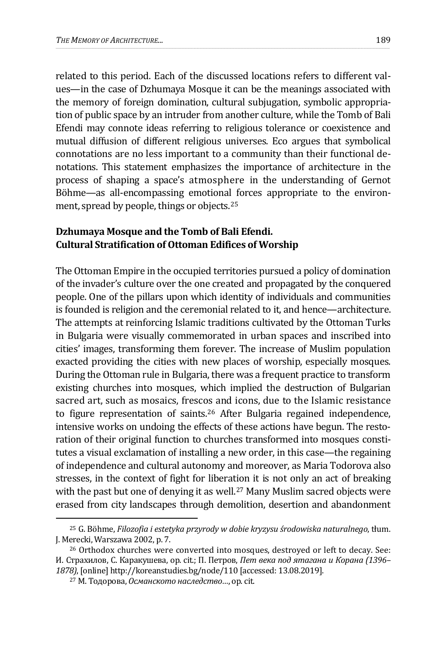related to this period. Each of the discussed locations refers to different values—in the case of Dzhumaya Mosque it can be the meanings associated with the memory of foreign domination, cultural subjugation, symbolic appropriation of public space by an intruder from another culture, while the Tomb of Bali Efendi may connote ideas referring to religious tolerance or coexistence and mutual diffusion of different religious universes. Eco argues that symbolical connotations are no less important to a community than their functional denotations. This statement emphasizes the importance of architecture in the process of shaping a space's atmosphere in the understanding of Gernot Böhme—as all-encompassing emotional forces appropriate to the environment, spread by people, things or objects.[25](#page-8-0)

## **Dzhumaya Mosque and the Tomb of Bali Efendi. Cultural Stratification of Ottoman Edifices of Worship**

The Ottoman Empire in the occupied territories pursued a policy of domination of the invader's culture over the one created and propagated by the conquered people. One of the pillars upon which identity of individuals and communities is founded is religion and the ceremonial related to it, and hence—architecture. The attempts at reinforcing Islamic traditions cultivated by the Ottoman Turks in Bulgaria were visually commemorated in urban spaces and inscribed into cities' images, transforming them forever. The increase of Muslim population exacted providing the cities with new places of worship, especially mosques. During the Ottoman rule in Bulgaria, there was a frequent practice to transform existing churches into mosques, which implied the destruction of Bulgarian sacred art, such as mosaics, frescos and icons, due to the Islamic resistance to figure representation of saints.[26](#page-8-1) After Bulgaria regained independence, intensive works on undoing the effects of these actions have begun. The restoration of their original function to churches transformed into mosques constitutes a visual exclamation of installing a new order, in this case—the regaining of independence and cultural autonomy and moreover, as Maria Todorova also stresses, in the context of fight for liberation it is not only an act of breaking with the past but one of denying it as well.<sup>[27](#page-8-2)</sup> Many Muslim sacred objects were erased from city landscapes through demolition, desertion and abandonment

<span id="page-8-0"></span><sup>25</sup> G. Böhme, *Filozofia i estetyka przyrody w dobie kryzysu środowiska naturalnego*, tłum. J. Merecki, Warszawa 2002, p. 7.

<span id="page-8-2"></span><span id="page-8-1"></span><sup>26</sup> Orthodox churches were converted into mosques, destroyed or left to decay. See: И. Страхилов, С. Каракушева, op. cit.; П. Петров, *Пет века под ятагана и Корана (1396– 1878)*, [online] http://koreanstudies.bg/node/110 [accessed: 13.08.2019].

<sup>27</sup> М. Тодорова, *Османското наследство…*, op. cit.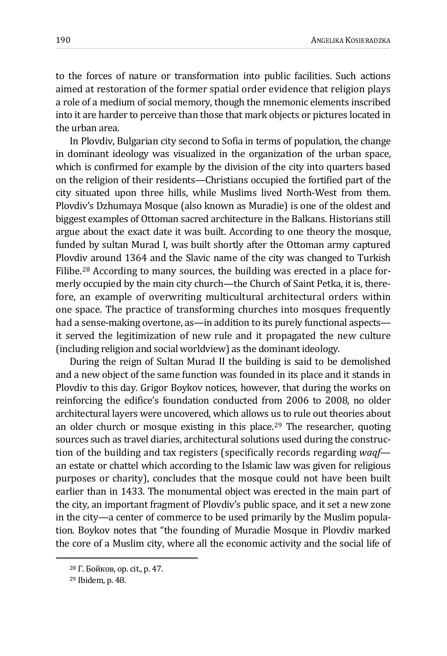to the forces of nature or transformation into public facilities. Such actions aimed at restoration of the former spatial order evidence that religion plays a role of a medium of social memory, though the mnemonic elements inscribed into it are harder to perceive than those that mark objects or pictures located in the urban area.

In Plovdiv, Bulgarian city second to Sofia in terms of population, the change in dominant ideology was visualized in the organization of the urban space, which is confirmed for example by the division of the city into quarters based on the religion of their residents—Christians occupied the fortified part of the city situated upon three hills, while Muslims lived North-West from them. Plovdiv's Dzhumaya Mosque (also known as Muradie) is one of the oldest and biggest examples of Ottoman sacred architecture in the Balkans. Historians still argue about the exact date it was built. According to one theory the mosque, funded by sultan Murad I, was built shortly after the Ottoman army captured Plovdiv around 1364 and the Slavic name of the city was changed to Turkish Filibe.[28](#page-9-0) According to many sources, the building was erected in a place formerly occupied by the main city church—the Church of Saint Petka, it is, therefore, an example of overwriting multicultural architectural orders within one space. The practice of transforming churches into mosques frequently had a sense-making overtone, as—in addition to its purely functional aspects it served the legitimization of new rule and it propagated the new culture (including religion and social worldview) as the dominant ideology.

During the reign of Sultan Murad II the building is said to be demolished and a new object of the same function was founded in its place and it stands in Plovdiv to this day. Grigor Boykov notices, however, that during the works on reinforcing the edifice's foundation conducted from 2006 to 2008, no older architectural layers were uncovered, which allows us to rule out theories about an older church or mosque existing in this place.<sup>[29](#page-9-1)</sup> The researcher, quoting sources such as travel diaries, architectural solutions used during the construction of the building and tax registers (specifically records regarding *waqf* an estate or chattel which according to the Islamic law was given for religious purposes or charity), concludes that the mosque could not have been built earlier than in 1433. The monumental object was erected in the main part of the city, an important fragment of Plovdiv's public space, and it set a new zone in the city—a center of commerce to be used primarily by the Muslim population. Boykov notes that "the founding of Muradie Mosque in Plovdiv marked the core of a Muslim city, where all the economic activity and the social life of

<span id="page-9-0"></span><sup>28</sup> Г. Бойков, op. cit., p. 47.

<span id="page-9-1"></span><sup>29</sup> Ibidem, p. 48.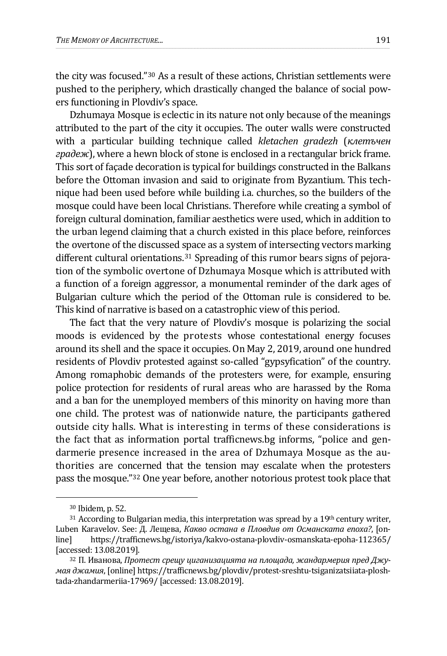the city was focused."[30](#page-10-0) As a result of these actions, Christian settlements were pushed to the periphery, which drastically changed the balance of social powers functioning in Plovdiv's space.

Dzhumaya Mosque is eclectic in its nature not only because of the meanings attributed to the part of the city it occupies. The outer walls were constructed with a particular building technique called *kletachen gradezh* (*клетъчен градеж*), where a hewn block of stone is enclosed in a rectangular brick frame. This sort of façade decoration is typical for buildings constructed in the Balkans before the Ottoman invasion and said to originate from Byzantium. This technique had been used before while building i.a. churches, so the builders of the mosque could have been local Christians. Therefore while creating a symbol of foreign cultural domination, familiar aesthetics were used, which in addition to the urban legend claiming that a church existed in this place before, reinforces the overtone of the discussed space as a system of intersecting vectors marking different cultural orientations.<sup>[31](#page-10-1)</sup> Spreading of this rumor bears signs of pejoration of the symbolic overtone of Dzhumaya Mosque which is attributed with a function of a foreign aggressor, a monumental reminder of the dark ages of Bulgarian culture which the period of the Ottoman rule is considered to be. This kind of narrative is based on a catastrophic view of this period.

The fact that the very nature of Plovdiv's mosque is polarizing the social moods is evidenced by the protests whose contestational energy focuses around its shell and the space it occupies. On May 2, 2019, around one hundred residents of Plovdiv protested against so-called "gypsyfication" of the country. Among romaphobic demands of the protesters were, for example, ensuring police protection for residents of rural areas who are harassed by the Roma and a ban for the unemployed members of this minority on having more than one child. The protest was of nationwide nature, the participants gathered outside city halls. What is interesting in terms of these considerations is the fact that as information portal trafficnews.bg informs, "police and gendarmerie presence increased in the area of Dzhumaya Mosque as the authorities are concerned that the tension may escalate when the protesters pass the mosque."[32](#page-10-2) One year before, another notorious protest took place that

<sup>30</sup> Ibidem, p. 52.

<span id="page-10-1"></span><span id="page-10-0"></span> $31$  According to Bulgarian media, this interpretation was spread by a  $19<sup>th</sup>$  century writer, Luben Karavelov. See: Д. Лещева, *Какво остана в Пловдив от Османската епоха?*, [onhttps://trafficnews.bg/istoriya/kakvo-ostana-plovdiv-osmanskata-epoha-112365/ [accessed: 13.08.2019].

<span id="page-10-2"></span><sup>32</sup> П. Иванова, *Протест срещу циганизацията на площада, жандармерия пред Джумая джамия*, [online] https://trafficnews.bg/plovdiv/protest-sreshtu-tsiganizatsiiata-ploshtada-zhandarmeriia-17969/ [accessed: 13.08.2019].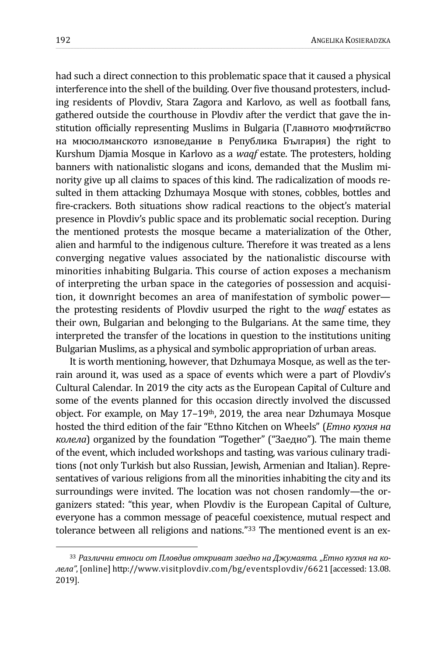had such a direct connection to this problematic space that it caused a physical interference into the shell of the building. Over five thousand protesters, including residents of Plovdiv, Stara Zagora and Karlovo, as well as football fans, gathered outside the courthouse in Plovdiv after the verdict that gave the institution officially representing Muslims in Bulgaria (Главното мюфтийство на мюсюлманското изповедание в Република България) the right to Kurshum Djamia Mosque in Karlovo as a *waqf* estate. The protesters, holding banners with nationalistic slogans and icons, demanded that the Muslim minority give up all claims to spaces of this kind. The radicalization of moods resulted in them attacking Dzhumaya Mosque with stones, cobbles, bottles and fire-crackers. Both situations show radical reactions to the object's material presence in Plovdiv's public space and its problematic social reception. During the mentioned protests the mosque became a materialization of the Other, alien and harmful to the indigenous culture. Therefore it was treated as a lens converging negative values associated by the nationalistic discourse with minorities inhabiting Bulgaria. This course of action exposes a mechanism of interpreting the urban space in the categories of possession and acquisition, it downright becomes an area of manifestation of symbolic power the protesting residents of Plovdiv usurped the right to the *waqf* estates as their own, Bulgarian and belonging to the Bulgarians. At the same time, they interpreted the transfer of the locations in question to the institutions uniting Bulgarian Muslims, as a physical and symbolic appropriation of urban areas.

It is worth mentioning, however, that Dzhumaya Mosque, as well as the terrain around it, was used as a space of events which were a part of Plovdiv's Cultural Calendar. In 2019 the city acts as the European Capital of Culture and some of the events planned for this occasion directly involved the discussed object. For example, on May 17–19th, 2019, the area near Dzhumaya Mosque hosted the third edition of the fair "Ethno Kitchen on Wheels" (*Етно кухня на колела*) organized by the foundation "Together" ("Заедно"). The main theme of the event, which included workshops and tasting, was various culinary traditions (not only Turkish but also Russian, Jewish, Armenian and Italian). Representatives of various religions from all the minorities inhabiting the city and its surroundings were invited. The location was not chosen randomly—the organizers stated: "this year, when Plovdiv is the European Capital of Culture, everyone has a common message of peaceful coexistence, mutual respect and tolerance between all religions and nations."[33](#page-11-0) The mentioned event is an ex-

<span id="page-11-0"></span><sup>33</sup> *Различни етноси от Пловдив откриват заедно на Джумаята. "Етно кухня на колела"*, [online] http://www.visitplovdiv.com/bg/eventsplovdiv/6621 [accessed: 13.08. 2019].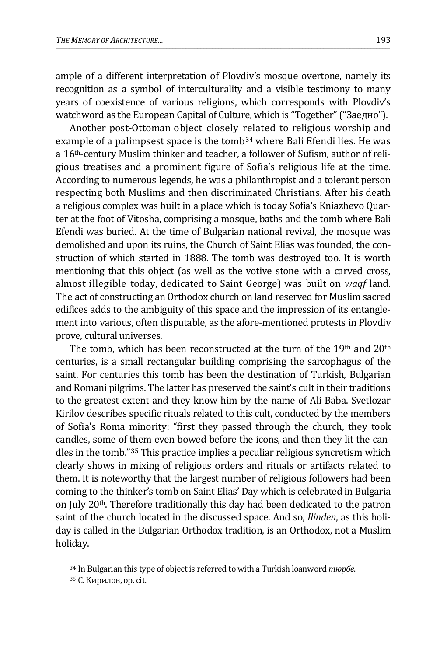ample of a different interpretation of Plovdiv's mosque overtone, namely its recognition as a symbol of interculturality and a visible testimony to many years of coexistence of various religions, which corresponds with Plovdiv's watchword as the European Capital of Culture, which is "Together" ("Заедно").

Another post-Ottoman object closely related to religious worship and example of a palimpsest space is the tomb<sup>[34](#page-12-0)</sup> where Bali Efendi lies. He was a 16th-century Muslim thinker and teacher, a follower of Sufism, author of religious treatises and a prominent figure of Sofia's religious life at the time. According to numerous legends, he was a philanthropist and a tolerant person respecting both Muslims and then discriminated Christians. After his death a religious complex was built in a place which is today Sofia's Kniazhevo Quarter at the foot of Vitosha, comprising a mosque, baths and the tomb where Bali Efendi was buried. At the time of Bulgarian national revival, the mosque was demolished and upon its ruins, the Church of Saint Elias was founded, the construction of which started in 1888. The tomb was destroyed too. It is worth mentioning that this object (as well as the votive stone with a carved cross, almost illegible today, dedicated to Saint George) was built on *waqf* land. The act of constructing an Orthodox church on land reserved for Muslim sacred edifices adds to the ambiguity of this space and the impression of its entanglement into various, often disputable, as the afore-mentioned protests in Plovdiv prove, cultural universes.

The tomb, which has been reconstructed at the turn of the  $19<sup>th</sup>$  and  $20<sup>th</sup>$ centuries, is a small rectangular building comprising the sarcophagus of the saint. For centuries this tomb has been the destination of Turkish, Bulgarian and Romani pilgrims. The latter has preserved the saint's cult in their traditions to the greatest extent and they know him by the name of Ali Baba. Svetlozar Kirilov describes specific rituals related to this cult, conducted by the members of Sofia's Roma minority: "first they passed through the church, they took candles, some of them even bowed before the icons, and then they lit the candles in the tomb."[35](#page-12-1) This practice implies a peculiar religious syncretism which clearly shows in mixing of religious orders and rituals or artifacts related to them. It is noteworthy that the largest number of religious followers had been coming to the thinker's tomb on Saint Elias' Day which is celebrated in Bulgaria on July 20th. Therefore traditionally this day had been dedicated to the patron saint of the church located in the discussed space. And so, *Ilinden*, as this holiday is called in the Bulgarian Orthodox tradition, is an Orthodox, not a Muslim holiday.

<span id="page-12-0"></span><sup>34</sup> In Bulgarian this type of object is referred to with a Turkish loanword *тюрбе*.

<span id="page-12-1"></span><sup>35</sup> С. Кирилов, op. cit.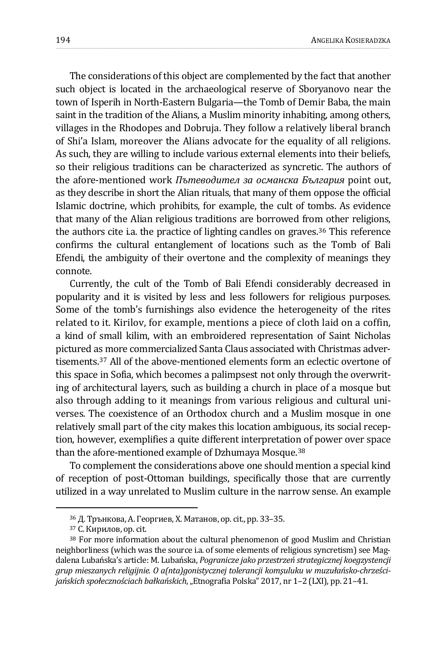The considerations of this object are complemented by the fact that another such object is located in the archaeological reserve of Sboryanovo near the town of Isperih in North-Eastern Bulgaria—the Tomb of Demir Baba, the main saint in the tradition of the Alians, a Muslim minority inhabiting, among others, villages in the Rhodopes and Dobruja. They follow a relatively liberal branch of Shi'a Islam, moreover the Alians advocate for the equality of all religions. As such, they are willing to include various external elements into their beliefs, so their religious traditions can be characterized as syncretic. The authors of the afore-mentioned work *Пътеводител за османска България* point out, as they describe in short the Alian rituals, that many of them oppose the official Islamic doctrine, which prohibits, for example, the cult of tombs. As evidence that many of the Alian religious traditions are borrowed from other religions, the authors cite i.a. the practice of lighting candles on graves.[36](#page-13-0) This reference confirms the cultural entanglement of locations such as the Tomb of Bali Efendi, the ambiguity of their overtone and the complexity of meanings they connote.

Currently, the cult of the Tomb of Bali Efendi considerably decreased in popularity and it is visited by less and less followers for religious purposes. Some of the tomb's furnishings also evidence the heterogeneity of the rites related to it. Kirilov, for example, mentions a piece of cloth laid on a coffin, a kind of small kilim, with an embroidered representation of Saint Nicholas pictured as more commercialized Santa Claus associated with Christmas advertisements.[37](#page-13-1) All of the above-mentioned elements form an eclectic overtone of this space in Sofia, which becomes a palimpsest not only through the overwriting of architectural layers, such as building a church in place of a mosque but also through adding to it meanings from various religious and cultural universes. The coexistence of an Orthodox church and a Muslim mosque in one relatively small part of the city makes this location ambiguous, its social reception, however, exemplifies a quite different interpretation of power over space than the afore-mentioned example of Dzhumaya Mosque.[38](#page-13-2)

To complement the considerations above one should mention a special kind of reception of post-Ottoman buildings, specifically those that are currently utilized in a way unrelated to Muslim culture in the narrow sense. An example

<sup>36</sup> Д. Трънкова, А. Георгиев, Х. Матанов, op. cit., pp. 33–35.

<sup>37</sup> С. Кирилов, op. cit.

<span id="page-13-2"></span><span id="page-13-1"></span><span id="page-13-0"></span><sup>38</sup> For more information about the cultural phenomenon of good Muslim and Christian neighborliness (which was the source i.a. of some elements of religious syncretism) see Magdalena Lubańska's article: M. Lubańska, *Pogranicze jako przestrzeń strategicznej koegzystencji grup mieszanych religijnie. O a(nta)gonistycznej tolerancji komşuluku w muzułańsko-chrześcijańskich społecznościach bałkańskich*, "Etnografia Polska" 2017, nr 1–2 (LXI), pp. 21–41.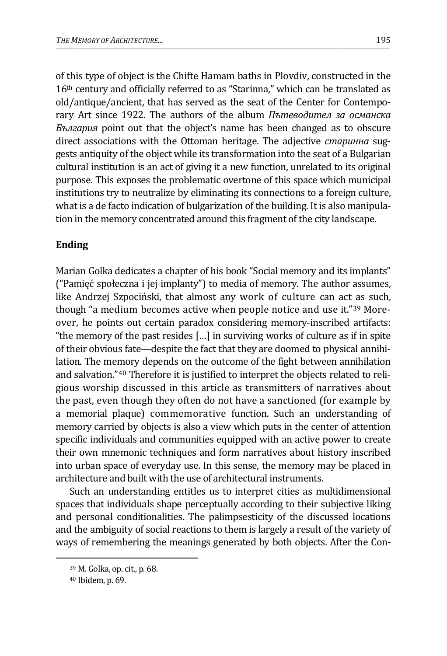of this type of object is the Chifte Hamam baths in Plovdiv, constructed in the 16th century and officially referred to as "Starinna," which can be translated as old/antique/ancient, that has served as the seat of the Center for Contemporary Art since 1922. The authors of the album *Пътеводител за османска България* point out that the object's name has been changed as to obscure direct associations with the Ottoman heritage. The adjective *старинна* suggests antiquity of the object while its transformation into the seat of a Bulgarian cultural institution is an act of giving it a new function, unrelated to its original purpose. This exposes the problematic overtone of this space which municipal institutions try to neutralize by eliminating its connections to a foreign culture, what is a de facto indication of bulgarization of the building. It is also manipulation in the memory concentrated around this fragment of the city landscape.

## **Ending**

Marian Golka dedicates a chapter of his book "Social memory and its implants" ("Pamięć społeczna i jej implanty") to media of memory. The author assumes, like Andrzej Szpociński, that almost any work of culture can act as such, though "a medium becomes active when people notice and use it."[39](#page-14-0) Moreover, he points out certain paradox considering memory-inscribed artifacts: "the memory of the past resides […] in surviving works of culture as if in spite of their obvious fate—despite the fact that they are doomed to physical annihilation. The memory depends on the outcome of the fight between annihilation and salvation."[40](#page-14-1) Therefore it is justified to interpret the objects related to religious worship discussed in this article as transmitters of narratives about the past, even though they often do not have a sanctioned (for example by a memorial plaque) commemorative function. Such an understanding of memory carried by objects is also a view which puts in the center of attention specific individuals and communities equipped with an active power to create their own mnemonic techniques and form narratives about history inscribed into urban space of everyday use. In this sense, the memory may be placed in architecture and built with the use of architectural instruments.

Such an understanding entitles us to interpret cities as multidimensional spaces that individuals shape perceptually according to their subjective liking and personal conditionalities. The palimpsesticity of the discussed locations and the ambiguity of social reactions to them is largely a result of the variety of ways of remembering the meanings generated by both objects. After the Con-

<span id="page-14-0"></span><sup>39</sup> M. Golka, op. cit., p. 68.

<span id="page-14-1"></span><sup>40</sup> Ibidem, p. 69.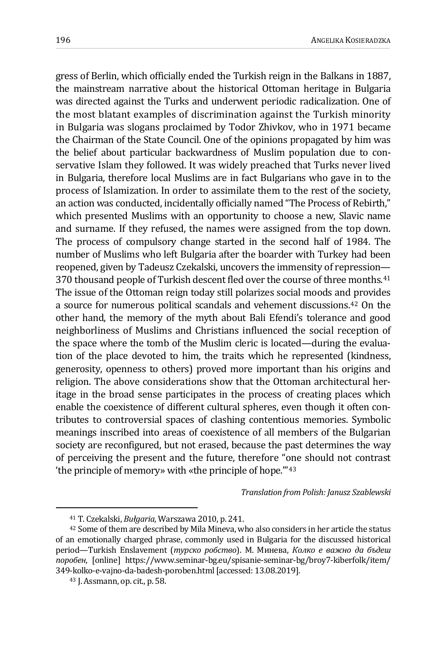gress of Berlin, which officially ended the Turkish reign in the Balkans in 1887, the mainstream narrative about the historical Ottoman heritage in Bulgaria was directed against the Turks and underwent periodic radicalization. One of the most blatant examples of discrimination against the Turkish minority in Bulgaria was slogans proclaimed by Todor Zhivkov, who in 1971 became the Chairman of the State Council. One of the opinions propagated by him was the belief about particular backwardness of Muslim population due to conservative Islam they followed. It was widely preached that Turks never lived in Bulgaria, therefore local Muslims are in fact Bulgarians who gave in to the process of Islamization. In order to assimilate them to the rest of the society, an action was conducted, incidentally officially named "The Process of Rebirth," which presented Muslims with an opportunity to choose a new, Slavic name and surname. If they refused, the names were assigned from the top down. The process of compulsory change started in the second half of 1984. The number of Muslims who left Bulgaria after the boarder with Turkey had been reopened, given by Tadeusz Czekalski, uncovers the immensity of repression— 370 thousand people of Turkish descent fled over the course of three months.<sup>[41](#page-15-0)</sup> The issue of the Ottoman reign today still polarizes social moods and provides a source for numerous political scandals and vehement discussions.[42](#page-15-1) On the other hand, the memory of the myth about Bali Efendi's tolerance and good neighborliness of Muslims and Christians influenced the social reception of the space where the tomb of the Muslim cleric is located—during the evaluation of the place devoted to him, the traits which he represented (kindness, generosity, openness to others) proved more important than his origins and religion. The above considerations show that the Ottoman architectural heritage in the broad sense participates in the process of creating places which enable the coexistence of different cultural spheres, even though it often contributes to controversial spaces of clashing contentious memories. Symbolic meanings inscribed into areas of coexistence of all members of the Bulgarian society are reconfigured, but not erased, because the past determines the way of perceiving the present and the future, therefore "one should not contrast 'the principle of memory» with «the principle of hope.'"[43](#page-15-2)

*Translation from Polish: Janusz Szablewski*

<span id="page-15-1"></span><span id="page-15-0"></span><sup>&</sup>lt;sup>41</sup> T. Czekalski, *Bułgaria*, Warszawa 2010, p. 241.<br><sup>42</sup> Some of them are described by Mila Mineva, who also considers in her article the status of an emotionally charged phrase, commonly used in Bulgaria for the discussed historical period—Turkish Enslavement (*турско робство*). М. Минева, *Колко е важно да бъдеш поробен*, [online] https://www.seminar-bg.eu/spisanie-seminar-bg/broy7-kiberfolk/item/ 349-kolko-e-vajno-da-badesh-poroben.html[accessed: 13.08.2019].

<span id="page-15-2"></span><sup>43</sup> J. Assmann, op. cit., p. 58.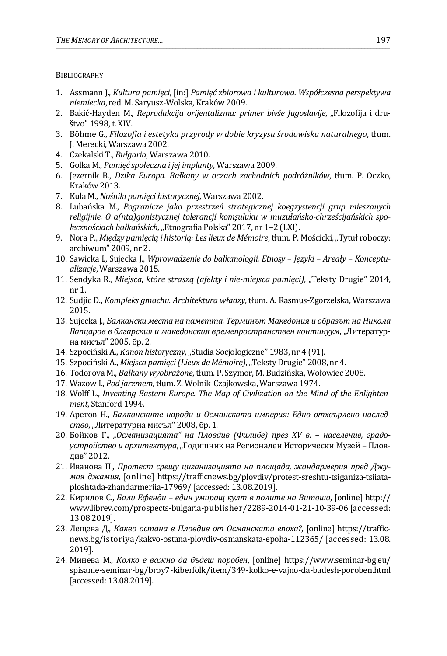**BIBLIOGRAPHY** 

- 1. Assmann J., *Kultura pamięci*, [in:] *Pamięć zbiorowa i kulturowa. Współczesna perspektywa niemiecka*, red. M. Saryusz-Wolska, Kraków 2009.
- 2. Bakić-Hayden M., *Reprodukcija orijentalizma: primer bivše Jugoslavije*, "Filozofija i društvo" 1998, t. XIV.
- 3. Böhme G., *Filozofia i estetyka przyrody w dobie kryzysu środowiska naturalnego*, tłum. J. Merecki, Warszawa 2002.
- 4. Czekalski T., *Bułgaria*, Warszawa 2010.
- 5. Golka M., *Pamięć społeczna i jej implanty*, Warszawa 2009.
- 6. Jezernik B., *Dzika Europa. Bałkany w oczach zachodnich podróżników*, tłum. P. Oczko, Kraków 2013.
- 7. Kula M., *Nośniki pamięci historycznej*, Warszawa 2002.
- 8. Lubańska M., *Pogranicze jako przestrzeń strategicznej koegzystencji grup mieszanych religijnie. O a(nta)gonistycznej tolerancji komşuluku w muzułańsko-chrześcijańskich społecznościach bałkańskich*, "Etnografia Polska" 2017, nr 1–2 (LXI).
- 9. Nora P., *Między pamięcią i historią: Les lieux de Mémoire*, tłum. P. Mościcki, "Tytuł roboczy: archiwum" 2009, nr 2.
- 10. Sawicka I., Sujecka J., *Wprowadzenie do bałkanologii. Etnosy – Języki – Areały – Konceptualizacje*, Warszawa 2015.
- 11. Sendyka R., *Miejsca, które straszą (afekty i nie-miejsca pamięci)*, "Teksty Drugie" 2014, nr 1.
- 12. Sudjic D., *Kompleks gmachu. Architektura władzy*, tłum. A. Rasmus-Zgorzelska, Warszawa 2015.
- 13. Sujecka J., *Балкански места на паметта. Терминът Македония и образът на Никола Вапцаров в блгарския и македонския времепространствен континуум*, "Литературна мисъл" 2005, бр. 2.
- 14. Szpociński A., *Kanon historyczny*, "Studia Socjologiczne" 1983, nr 4 (91).
- 15. Szpociński A., *Miejsca pamięci (Lieux de Mémoire)*, "Teksty Drugie" 2008, nr 4.
- 16. Todorova M., *Bałkany wyobrażone*, tłum. P. Szymor, M. Budzińska, Wołowiec 2008.
- 17. Wazow I., *Pod jarzmem*, tłum. Z. Wolnik-Czajkowska, Warszawa 1974.
- 18. Wolff L., *Inventing Eastern Europe. The Map of Civilization on the Mind of the Enlightenment*, Stanford 1994.
- 19. Аретов Н., *Балканските народи и Османската империя: Едно отхвърлено наследство*,"Литературна мисъл" 2008, бр. 1.
- 20. Бойков Г., *"Османизацията" на Пловдив (Филибе) през XV в. – население, градоустройство и архитектура*, "Годишник на Регионален Исторически Музей – Пловдив" 2012.
- 21. Иванова П., *Протест срещу циганизацията на площада, жандармерия пред Джумая джамия*, [online] https://trafficnews.bg/plovdiv/protest-sreshtu-tsiganiza-tsiiataploshtada-zhandarmeriia-17969/ [accessed: 13.08.2019].
- 22. Кирилов С., *Бали Ефенди – един умиращ култ в полите на Витоша*, [online] http:// www.librev.com/prospects-bulgaria-publisher/2289-2014-01-21-10-39-06 [accessed: 13.08.2019].
- 23. Лещева Д., *Какво остана в Пловдив от Османската епоха?*, [online] https://trafficnews.bg/istoriya/kakvo-ostana-plovdiv-osmanskata-epoha-112365/ [accessed: 13.08. 2019].
- 24. Минева М., *Колко е важно да бъдеш поробен*, [online] https://www.seminar-bg.eu/ spisanie-seminar-bg/broy7-kiberfolk/item/349-kolko-e-vajno-da-badesh-poroben.html [accessed: 13.08.2019].